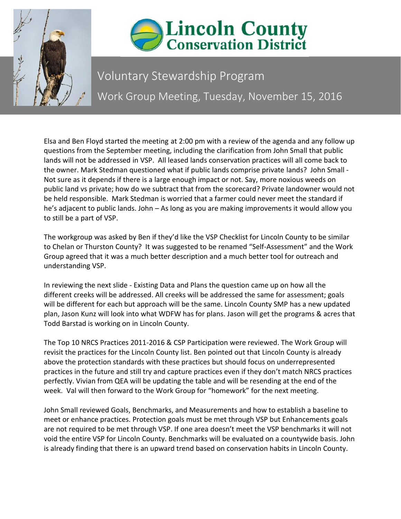



## Voluntary Stewardship Program Work Group Meeting, Tuesday, November 15, 2016

Elsa and Ben Floyd started the meeting at 2:00 pm with a review of the agenda and any follow up questions from the September meeting, including the clarification from John Small that public lands will not be addressed in VSP. All leased lands conservation practices will all come back to the owner. Mark Stedman questioned what if public lands comprise private lands? John Small - Not sure as it depends if there is a large enough impact or not. Say, more noxious weeds on public land vs private; how do we subtract that from the scorecard? Private landowner would not be held responsible. Mark Stedman is worried that a farmer could never meet the standard if he's adjacent to public lands. John – As long as you are making improvements it would allow you to still be a part of VSP.

The workgroup was asked by Ben if they'd like the VSP Checklist for Lincoln County to be similar to Chelan or Thurston County? It was suggested to be renamed "Self-Assessment" and the Work Group agreed that it was a much better description and a much better tool for outreach and understanding VSP.

In reviewing the next slide - Existing Data and Plans the question came up on how all the different creeks will be addressed. All creeks will be addressed the same for assessment; goals will be different for each but approach will be the same. Lincoln County SMP has a new updated plan, Jason Kunz will look into what WDFW has for plans. Jason will get the programs & acres that Todd Barstad is working on in Lincoln County.

The Top 10 NRCS Practices 2011-2016 & CSP Participation were reviewed. The Work Group will revisit the practices for the Lincoln County list. Ben pointed out that Lincoln County is already above the protection standards with these practices but should focus on underrepresented practices in the future and still try and capture practices even if they don't match NRCS practices perfectly. Vivian from QEA will be updating the table and will be resending at the end of the week. Val will then forward to the Work Group for "homework" for the next meeting.

John Small reviewed Goals, Benchmarks, and Measurements and how to establish a baseline to meet or enhance practices. Protection goals must be met through VSP but Enhancements goals are not required to be met through VSP. If one area doesn't meet the VSP benchmarks it will not void the entire VSP for Lincoln County. Benchmarks will be evaluated on a countywide basis. John is already finding that there is an upward trend based on conservation habits in Lincoln County.